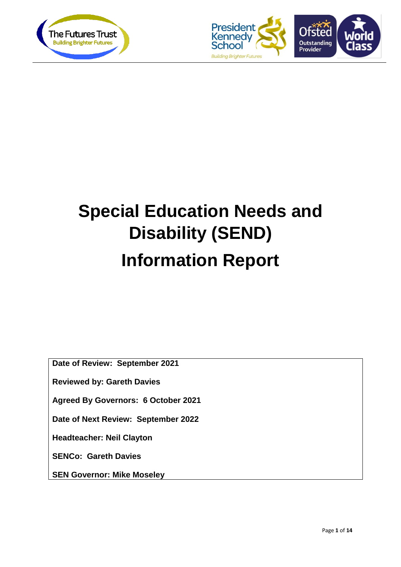



# **Special Education Needs and Disability (SEND) Information Report**

**Date of Review: September 2021**

**Reviewed by: Gareth Davies**

**Agreed By Governors: 6 October 2021**

**Date of Next Review: September 2022**

**Headteacher: Neil Clayton**

**SENCo: Gareth Davies**

**SEN Governor: Mike Moseley**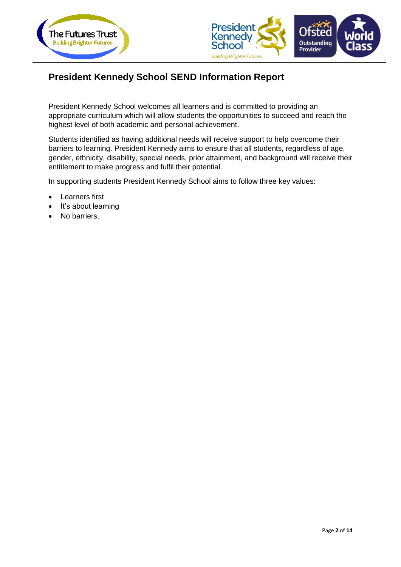



# **President Kennedy School SEND Information Report**

President Kennedy School welcomes all learners and is committed to providing an appropriate curriculum which will allow students the opportunities to succeed and reach the highest level of both academic and personal achievement.

Students identified as having additional needs will receive support to help overcome their barriers to learning. President Kennedy aims to ensure that all students, regardless of age, gender, ethnicity, disability, special needs, prior attainment, and background will receive their entitlement to make progress and fulfil their potential.

In supporting students President Kennedy School aims to follow three key values:

- Learners first
- It's about learning
- No barriers.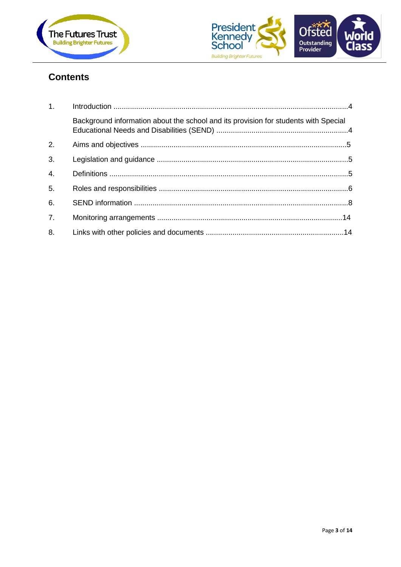



# **Contents**

| 1.               |                                                                                     |  |
|------------------|-------------------------------------------------------------------------------------|--|
|                  | Background information about the school and its provision for students with Special |  |
| 2.               |                                                                                     |  |
| 3.               |                                                                                     |  |
| 4.               |                                                                                     |  |
| 5.               |                                                                                     |  |
| 6.               |                                                                                     |  |
| $\overline{7}$ . |                                                                                     |  |
| 8.               |                                                                                     |  |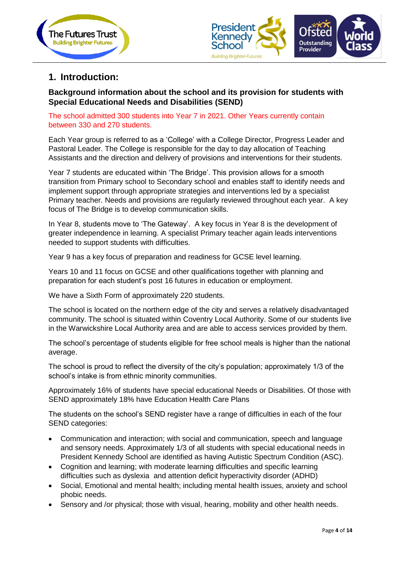



# **1. Introduction:**

## **Background information about the school and its provision for students with Special Educational Needs and Disabilities (SEND)**

#### The school admitted 300 students into Year 7 in 2021. Other Years currently contain between 330 and 270 students.

Each Year group is referred to as a 'College' with a College Director, Progress Leader and Pastoral Leader. The College is responsible for the day to day allocation of Teaching Assistants and the direction and delivery of provisions and interventions for their students.

Year 7 students are educated within 'The Bridge'. This provision allows for a smooth transition from Primary school to Secondary school and enables staff to identify needs and implement support through appropriate strategies and interventions led by a specialist Primary teacher. Needs and provisions are regularly reviewed throughout each year. A key focus of The Bridge is to develop communication skills.

In Year 8, students move to 'The Gateway'. A key focus in Year 8 is the development of greater independence in learning. A specialist Primary teacher again leads interventions needed to support students with difficulties.

Year 9 has a key focus of preparation and readiness for GCSE level learning.

Years 10 and 11 focus on GCSE and other qualifications together with planning and preparation for each student's post 16 futures in education or employment.

We have a Sixth Form of approximately 220 students.

The school is located on the northern edge of the city and serves a relatively disadvantaged community. The school is situated within Coventry Local Authority. Some of our students live in the Warwickshire Local Authority area and are able to access services provided by them.

The school's percentage of students eligible for free school meals is higher than the national average.

The school is proud to reflect the diversity of the city's population; approximately 1/3 of the school's intake is from ethnic minority communities.

Approximately 16% of students have special educational Needs or Disabilities. Of those with SEND approximately 18% have Education Health Care Plans

The students on the school's SEND register have a range of difficulties in each of the four SEND categories:

- Communication and interaction; with social and communication, speech and language and sensory needs. Approximately 1/3 of all students with special educational needs in President Kennedy School are identified as having Autistic Spectrum Condition (ASC).
- Cognition and learning; with moderate learning difficulties and specific learning difficulties such as dyslexia and attention deficit hyperactivity disorder (ADHD)
- Social, Emotional and mental health; including mental health issues, anxiety and school phobic needs.
- Sensory and /or physical; those with visual, hearing, mobility and other health needs.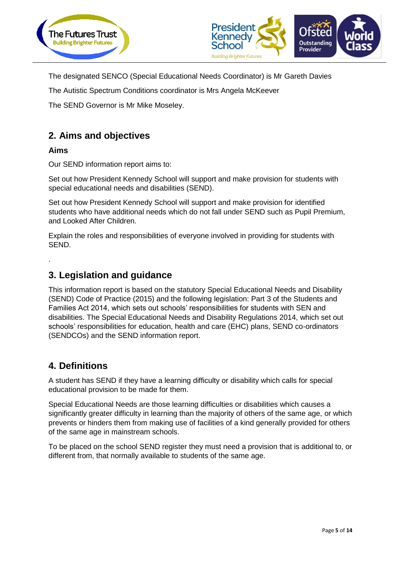



The designated SENCO (Special Educational Needs Coordinator) is Mr Gareth Davies

The Autistic Spectrum Conditions coordinator is Mrs Angela McKeever

The SEND Governor is Mr Mike Moseley.

# **2. Aims and objectives**

#### **Aims**

.

Our SEND information report aims to:

Set out how President Kennedy School will support and make provision for students with special educational needs and disabilities (SEND).

Set out how President Kennedy School will support and make provision for identified students who have additional needs which do not fall under SEND such as Pupil Premium, and Looked After Children.

Explain the roles and responsibilities of everyone involved in providing for students with SEND.

# **3. Legislation and guidance**

This information report is based on the statutory Special Educational Needs and Disability (SEND) Code of Practice (2015) and the following legislation: Part 3 of the Students and Families Act 2014, which sets out schools' responsibilities for students with SEN and disabilities. The Special Educational Needs and Disability Regulations 2014, which set out schools' responsibilities for education, health and care (EHC) plans, SEND co-ordinators (SENDCOs) and the SEND information report.

# **4. Definitions**

A student has SEND if they have a learning difficulty or disability which calls for special educational provision to be made for them.

Special Educational Needs are those learning difficulties or disabilities which causes a significantly greater difficulty in learning than the majority of others of the same age, or which prevents or hinders them from making use of facilities of a kind generally provided for others of the same age in mainstream schools.

To be placed on the school SEND register they must need a provision that is additional to, or different from, that normally available to students of the same age.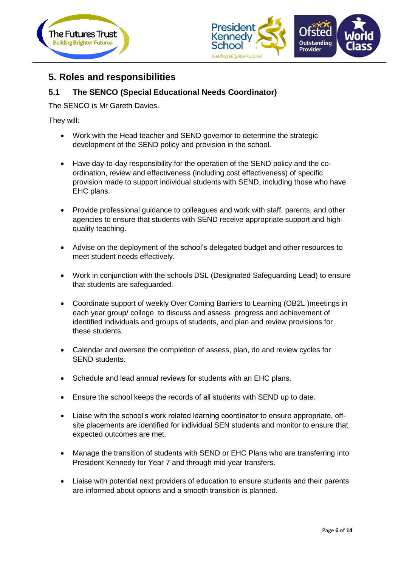



# **5. Roles and responsibilities**

## **5.1 The SENCO (Special Educational Needs Coordinator)**

The SENCO is Mr Gareth Davies.

They will:

- Work with the Head teacher and SEND governor to determine the strategic development of the SEND policy and provision in the school.
- Have day-to-day responsibility for the operation of the SEND policy and the coordination, review and effectiveness (including cost effectiveness) of specific provision made to support individual students with SEND, including those who have EHC plans.
- Provide professional guidance to colleagues and work with staff, parents, and other agencies to ensure that students with SEND receive appropriate support and highquality teaching.
- Advise on the deployment of the school's delegated budget and other resources to meet student needs effectively.
- Work in conjunction with the schools DSL (Designated Safeguarding Lead) to ensure that students are safeguarded.
- Coordinate support of weekly Over Coming Barriers to Learning (OB2L )meetings in each year group/ college to discuss and assess progress and achievement of identified individuals and groups of students, and plan and review provisions for these students.
- Calendar and oversee the completion of assess, plan, do and review cycles for SEND students.
- Schedule and lead annual reviews for students with an EHC plans.
- Ensure the school keeps the records of all students with SEND up to date.
- Liaise with the school's work related learning coordinator to ensure appropriate, offsite placements are identified for individual SEN students and monitor to ensure that expected outcomes are met.
- Manage the transition of students with SEND or EHC Plans who are transferring into President Kennedy for Year 7 and through mid-year transfers.
- Liaise with potential next providers of education to ensure students and their parents are informed about options and a smooth transition is planned.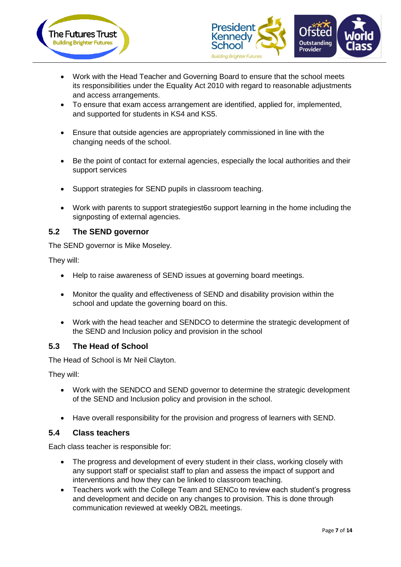



- Work with the Head Teacher and Governing Board to ensure that the school meets its responsibilities under the Equality Act 2010 with regard to reasonable adjustments and access arrangements.
- To ensure that exam access arrangement are identified, applied for, implemented, and supported for students in KS4 and KS5.
- Ensure that outside agencies are appropriately commissioned in line with the changing needs of the school.
- Be the point of contact for external agencies, especially the local authorities and their support services
- Support strategies for SEND pupils in classroom teaching.
- Work with parents to support strategiest6o support learning in the home including the signposting of external agencies.

#### **5.2 The SEND governor**

The SEND governor is Mike Moseley.

They will:

- Help to raise awareness of SEND issues at governing board meetings.
- Monitor the quality and effectiveness of SEND and disability provision within the school and update the governing board on this.
- Work with the head teacher and SENDCO to determine the strategic development of the SEND and Inclusion policy and provision in the school

## **5.3 The Head of School**

The Head of School is Mr Neil Clayton.

They will:

- Work with the SENDCO and SEND governor to determine the strategic development of the SEND and Inclusion policy and provision in the school.
- Have overall responsibility for the provision and progress of learners with SEND.

#### **5.4 Class teachers**

Each class teacher is responsible for:

- The progress and development of every student in their class, working closely with any support staff or specialist staff to plan and assess the impact of support and interventions and how they can be linked to classroom teaching.
- Teachers work with the College Team and SENCo to review each student's progress and development and decide on any changes to provision. This is done through communication reviewed at weekly OB2L meetings.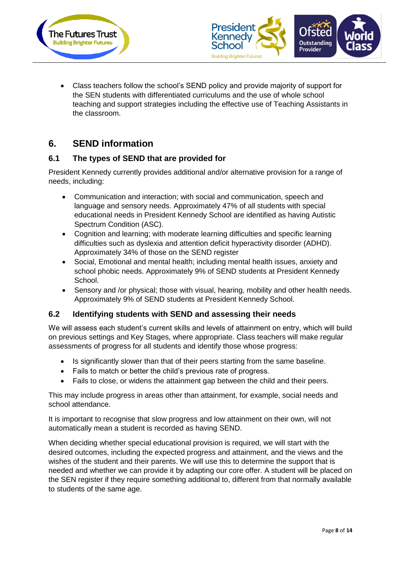



• Class teachers follow the school's SEND policy and provide majority of support for the SEN students with differentiated curriculums and the use of whole school teaching and support strategies including the effective use of Teaching Assistants in the classroom.

# **6. SEND information**

## **6.1 The types of SEND that are provided for**

President Kennedy currently provides additional and/or alternative provision for a range of needs, including:

- Communication and interaction; with social and communication, speech and language and sensory needs. Approximately 47% of all students with special educational needs in President Kennedy School are identified as having Autistic Spectrum Condition (ASC).
- Cognition and learning; with moderate learning difficulties and specific learning difficulties such as dyslexia and attention deficit hyperactivity disorder (ADHD). Approximately 34% of those on the SEND register
- Social, Emotional and mental health; including mental health issues, anxiety and school phobic needs. Approximately 9% of SEND students at President Kennedy School.
- Sensory and /or physical; those with visual, hearing, mobility and other health needs. Approximately 9% of SEND students at President Kennedy School.

## **6.2 Identifying students with SEND and assessing their needs**

We will assess each student's current skills and levels of attainment on entry, which will build on previous settings and Key Stages, where appropriate. Class teachers will make regular assessments of progress for all students and identify those whose progress:

- Is significantly slower than that of their peers starting from the same baseline.
- Fails to match or better the child's previous rate of progress.
- Fails to close, or widens the attainment gap between the child and their peers.

This may include progress in areas other than attainment, for example, social needs and school attendance.

It is important to recognise that slow progress and low attainment on their own, will not automatically mean a student is recorded as having SEND.

When deciding whether special educational provision is required, we will start with the desired outcomes, including the expected progress and attainment, and the views and the wishes of the student and their parents. We will use this to determine the support that is needed and whether we can provide it by adapting our core offer. A student will be placed on the SEN register if they require something additional to, different from that normally available to students of the same age.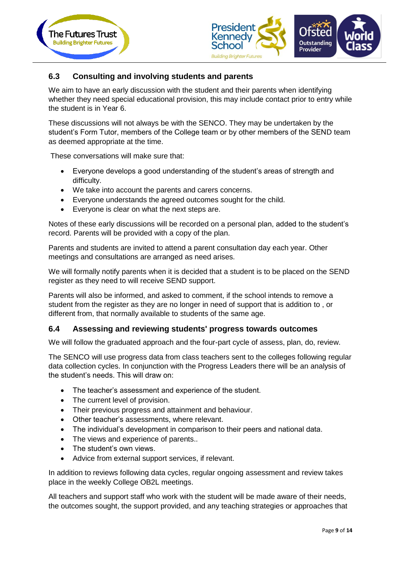



## **6.3 Consulting and involving students and parents**

We aim to have an early discussion with the student and their parents when identifying whether they need special educational provision, this may include contact prior to entry while the student is in Year 6.

These discussions will not always be with the SENCO. They may be undertaken by the student's Form Tutor, members of the College team or by other members of the SEND team as deemed appropriate at the time.

These conversations will make sure that:

- Everyone develops a good understanding of the student's areas of strength and difficulty.
- We take into account the parents and carers concerns.
- Everyone understands the agreed outcomes sought for the child.
- Everyone is clear on what the next steps are.

Notes of these early discussions will be recorded on a personal plan, added to the student's record. Parents will be provided with a copy of the plan.

Parents and students are invited to attend a parent consultation day each year. Other meetings and consultations are arranged as need arises.

We will formally notify parents when it is decided that a student is to be placed on the SEND register as they need to will receive SEND support.

Parents will also be informed, and asked to comment, if the school intends to remove a student from the register as they are no longer in need of support that is addition to , or different from, that normally available to students of the same age.

#### **6.4 Assessing and reviewing students' progress towards outcomes**

We will follow the graduated approach and the four-part cycle of assess, plan, do, review.

The SENCO will use progress data from class teachers sent to the colleges following regular data collection cycles. In conjunction with the Progress Leaders there will be an analysis of the student's needs. This will draw on:

- The teacher's assessment and experience of the student.
- The current level of provision.
- Their previous progress and attainment and behaviour.
- Other teacher's assessments, where relevant.
- The individual's development in comparison to their peers and national data.
- The views and experience of parents..
- The student's own views.
- Advice from external support services, if relevant.

In addition to reviews following data cycles, regular ongoing assessment and review takes place in the weekly College OB2L meetings.

All teachers and support staff who work with the student will be made aware of their needs, the outcomes sought, the support provided, and any teaching strategies or approaches that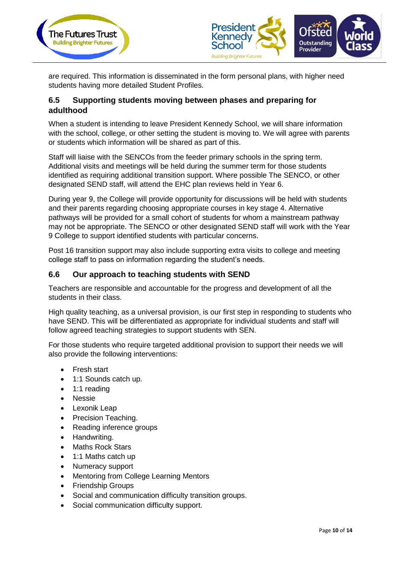



are required. This information is disseminated in the form personal plans, with higher need students having more detailed Student Profiles.

## **6.5 Supporting students moving between phases and preparing for adulthood**

When a student is intending to leave President Kennedy School, we will share information with the school, college, or other setting the student is moving to. We will agree with parents or students which information will be shared as part of this.

Staff will liaise with the SENCOs from the feeder primary schools in the spring term. Additional visits and meetings will be held during the summer term for those students identified as requiring additional transition support. Where possible The SENCO, or other designated SEND staff, will attend the EHC plan reviews held in Year 6.

During year 9, the College will provide opportunity for discussions will be held with students and their parents regarding choosing appropriate courses in key stage 4. Alternative pathways will be provided for a small cohort of students for whom a mainstream pathway may not be appropriate. The SENCO or other designated SEND staff will work with the Year 9 College to support identified students with particular concerns.

Post 16 transition support may also include supporting extra visits to college and meeting college staff to pass on information regarding the student's needs.

## **6.6 Our approach to teaching students with SEND**

Teachers are responsible and accountable for the progress and development of all the students in their class.

High quality teaching, as a universal provision, is our first step in responding to students who have SEND. This will be differentiated as appropriate for individual students and staff will follow agreed teaching strategies to support students with SEN.

For those students who require targeted additional provision to support their needs we will also provide the following interventions:

- Fresh start
- 1:1 Sounds catch up.
- 1:1 reading
- Nessie
- Lexonik Leap
- Precision Teaching.
- Reading inference groups
- Handwriting.
- Maths Rock Stars
- 1:1 Maths catch up
- Numeracy support
- Mentoring from College Learning Mentors
- Friendship Groups
- Social and communication difficulty transition groups.
- Social communication difficulty support.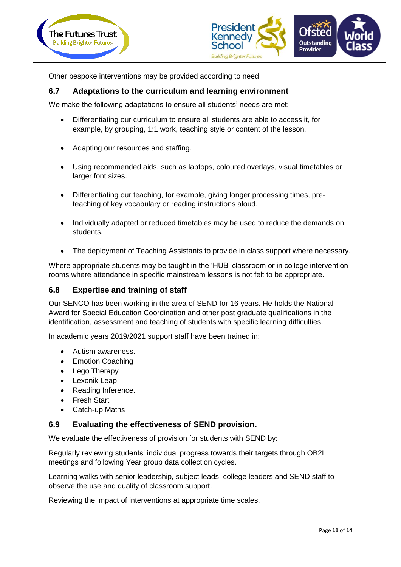



Other bespoke interventions may be provided according to need.

#### **6.7 Adaptations to the curriculum and learning environment**

We make the following adaptations to ensure all students' needs are met:

- Differentiating our curriculum to ensure all students are able to access it, for example, by grouping, 1:1 work, teaching style or content of the lesson.
- Adapting our resources and staffing.
- Using recommended aids, such as laptops, coloured overlays, visual timetables or larger font sizes.
- Differentiating our teaching, for example, giving longer processing times, preteaching of key vocabulary or reading instructions aloud.
- Individually adapted or reduced timetables may be used to reduce the demands on students.
- The deployment of Teaching Assistants to provide in class support where necessary.

Where appropriate students may be taught in the 'HUB' classroom or in college intervention rooms where attendance in specific mainstream lessons is not felt to be appropriate.

#### **6.8 Expertise and training of staff**

Our SENCO has been working in the area of SEND for 16 years. He holds the National Award for Special Education Coordination and other post graduate qualifications in the identification, assessment and teaching of students with specific learning difficulties.

In academic years 2019/2021 support staff have been trained in:

- Autism awareness.
- Emotion Coaching
- Lego Therapy
- Lexonik Leap
- Reading Inference.
- Fresh Start
- Catch-up Maths

#### **6.9 Evaluating the effectiveness of SEND provision.**

We evaluate the effectiveness of provision for students with SEND by:

Regularly reviewing students' individual progress towards their targets through OB2L meetings and following Year group data collection cycles.

Learning walks with senior leadership, subject leads, college leaders and SEND staff to observe the use and quality of classroom support.

Reviewing the impact of interventions at appropriate time scales.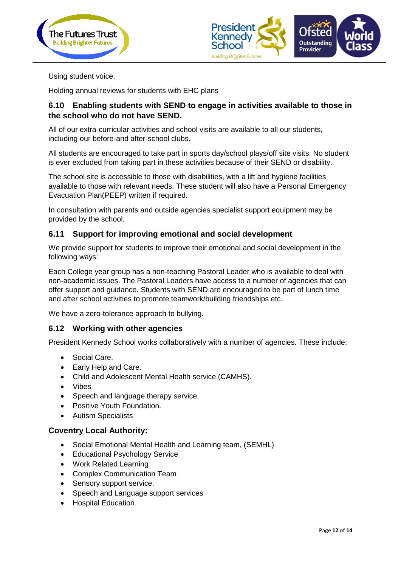



Using student voice.

Holding annual reviews for students with EHC plans

## **6.10 Enabling students with SEND to engage in activities available to those in the school who do not have SEND.**

All of our extra-curricular activities and school visits are available to all our students, including our before-and after-school clubs.

All students are encouraged to take part in sports day/school plays/off site visits. No student is ever excluded from taking part in these activities because of their SEND or disability.

The school site is accessible to those with disabilities, with a lift and hygiene facilities available to those with relevant needs. These student will also have a Personal Emergency Evacuation Plan(PEEP) written if required.

In consultation with parents and outside agencies specialist support equipment may be provided by the school.

#### **6.11 Support for improving emotional and social development**

We provide support for students to improve their emotional and social development in the following ways:

Each College year group has a non-teaching Pastoral Leader who is available to deal with non-academic issues. The Pastoral Leaders have access to a number of agencies that can offer support and guidance. Students with SEND are encouraged to be part of lunch time and after school activities to promote teamwork/building friendships etc.

We have a zero-tolerance approach to bullying.

#### **6.12 Working with other agencies**

President Kennedy School works collaboratively with a number of agencies. These include:

- Social Care.
- Early Help and Care.
- Child and Adolescent Mental Health service (CAMHS).
- Vibes
- Speech and language therapy service.
- Positive Youth Foundation.
- Autism Specialists

#### **Coventry Local Authority:**

- Social Emotional Mental Health and Learning team, (SEMHL)
- Educational Psychology Service
- Work Related Learning
- Complex Communication Team
- Sensory support service.
- Speech and Language support services
- Hospital Education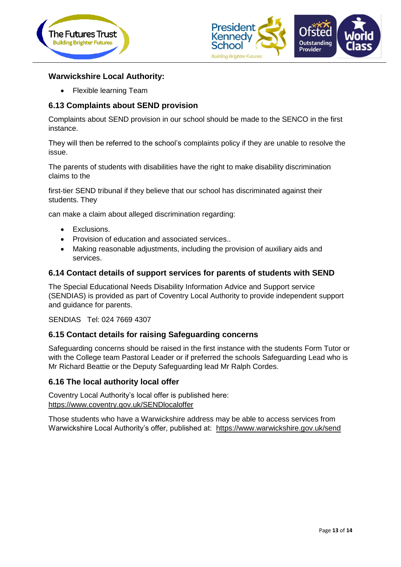



## **Warwickshire Local Authority:**

• Flexible learning Team

### **6.13 Complaints about SEND provision**

Complaints about SEND provision in our school should be made to the SENCO in the first instance.

They will then be referred to the school's complaints policy if they are unable to resolve the issue.

The parents of students with disabilities have the right to make disability discrimination claims to the

first-tier SEND tribunal if they believe that our school has discriminated against their students. They

can make a claim about alleged discrimination regarding:

- Exclusions.
- Provision of education and associated services..
- Making reasonable adjustments, including the provision of auxiliary aids and services.

#### **6.14 Contact details of support services for parents of students with SEND**

The Special Educational Needs Disability Information Advice and Support service (SENDIAS) is provided as part of Coventry Local Authority to provide independent support and guidance for parents.

SENDIAS Tel: 024 7669 4307

#### **6.15 Contact details for raising Safeguarding concerns**

Safeguarding concerns should be raised in the first instance with the students Form Tutor or with the College team Pastoral Leader or if preferred the schools Safeguarding Lead who is Mr Richard Beattie or the Deputy Safeguarding lead Mr Ralph Cordes.

#### **6.16 The local authority local offer**

Coventry Local Authority's local offer is published here: <https://www.coventry.gov.uk/SENDlocaloffer>

Those students who have a Warwickshire address may be able to access services from Warwickshire Local Authority's offer, published at: https://www.warwickshire.gov.uk/send